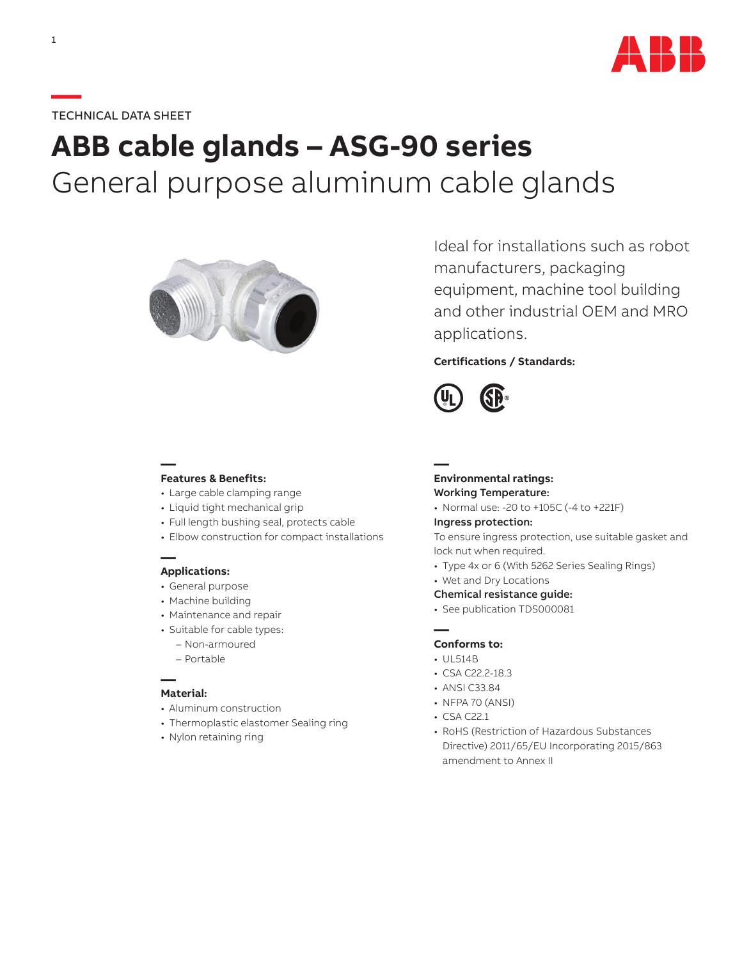

## **—**TECHNICAL DATA SHEET

# **ABB cable glands – ASG-90 series** General purpose aluminum cable glands



Ideal for installations such as robot manufacturers, packaging equipment, machine tool building and other industrial OEM and MRO applications.

## **Certifications / Standards:**



## **— Features & Benefits:**

- Large cable clamping range
- Liquid tight mechanical grip
- Full length bushing seal, protects cable
- Elbow construction for compact installations

#### **— Applications:**

- General purpose
- Machine building
- Maintenance and repair
- Suitable for cable types:
	- Non-armoured
	- Portable

#### **— Material:**

- Aluminum construction
- Thermoplastic elastomer Sealing ring
- Nylon retaining ring

### **— Environmental ratings:** Working Temperature:

• Normal use: -20 to +105C (-4 to +221F)

#### Ingress protection:

To ensure ingress protection, use suitable gasket and lock nut when required.

- Type 4x or 6 (With 5262 Series Sealing Rings)
- Wet and Dry Locations
- Chemical resistance guide:
- See publication TDS000081

### **— Conforms to:**

- UL514B
- CSA C22.2-18.3
- ANSI C33.84
- NFPA 70 (ANSI)
- CSA C22.1
- RoHS (Restriction of Hazardous Substances Directive) 2011/65/EU Incorporating 2015/863 amendment to Annex II